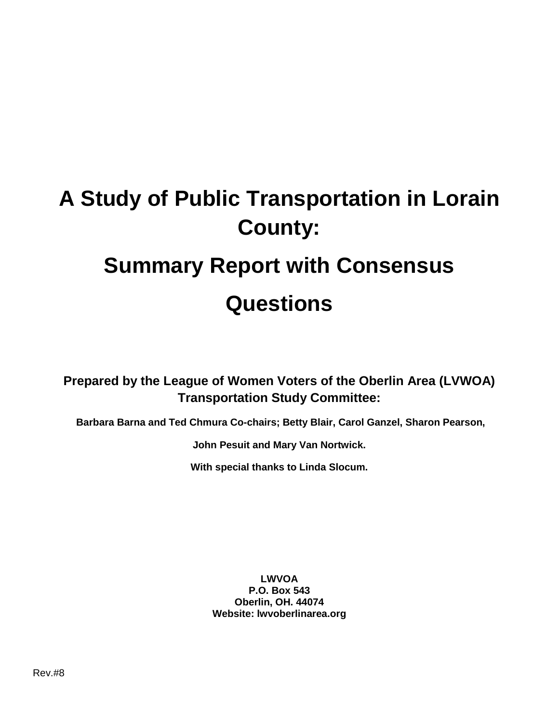# **A Study of Public Transportation in Lorain County: Summary Report with Consensus Questions**

**Prepared by the League of Women Voters of the Oberlin Area (LVWOA) Transportation Study Committee:**

**Barbara Barna and Ted Chmura Co-chairs; Betty Blair, Carol Ganzel, Sharon Pearson,** 

**John Pesuit and Mary Van Nortwick.**

**With special thanks to Linda Slocum.**

**LWVOA P.O. Box 543 Oberlin, OH. 44074 Website: lwvoberlinarea.org**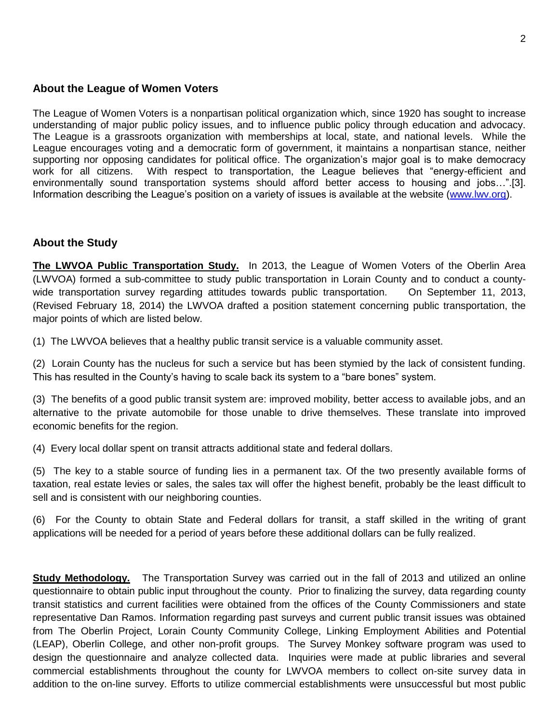#### **About the League of Women Voters**

The League of Women Voters is a nonpartisan political organization which, since 1920 has sought to increase understanding of major public policy issues, and to influence public policy through education and advocacy. The League is a grassroots organization with memberships at local, state, and national levels. While the League encourages voting and a democratic form of government, it maintains a nonpartisan stance, neither supporting nor opposing candidates for political office. The organization's major goal is to make democracy work for all citizens. With respect to transportation, the League believes that "energy-efficient and environmentally sound transportation systems should afford better access to housing and jobs…".[3]. Information describing the League's position on a variety of issues is available at the website [\(www.lwv.org\)](http://www.lwv.org/).

#### **About the Study**

**The LWVOA Public Transportation Study.** In 2013, the League of Women Voters of the Oberlin Area (LWVOA) formed a sub-committee to study public transportation in Lorain County and to conduct a countywide transportation survey regarding attitudes towards public transportation. On September 11, 2013, (Revised February 18, 2014) the LWVOA drafted a position statement concerning public transportation, the major points of which are listed below.

(1) The LWVOA believes that a healthy public transit service is a valuable community asset.

(2) Lorain County has the nucleus for such a service but has been stymied by the lack of consistent funding. This has resulted in the County's having to scale back its system to a "bare bones" system.

(3) The benefits of a good public transit system are: improved mobility, better access to available jobs, and an alternative to the private automobile for those unable to drive themselves. These translate into improved economic benefits for the region.

(4) Every local dollar spent on transit attracts additional state and federal dollars.

(5) The key to a stable source of funding lies in a permanent tax. Of the two presently available forms of taxation, real estate levies or sales, the sales tax will offer the highest benefit, probably be the least difficult to sell and is consistent with our neighboring counties.

(6) For the County to obtain State and Federal dollars for transit, a staff skilled in the writing of grant applications will be needed for a period of years before these additional dollars can be fully realized.

**Study Methodology.** The Transportation Survey was carried out in the fall of 2013 and utilized an online questionnaire to obtain public input throughout the county. Prior to finalizing the survey, data regarding county transit statistics and current facilities were obtained from the offices of the County Commissioners and state representative Dan Ramos. Information regarding past surveys and current public transit issues was obtained from The Oberlin Project, Lorain County Community College, Linking Employment Abilities and Potential (LEAP), Oberlin College, and other non-profit groups. The Survey Monkey software program was used to design the questionnaire and analyze collected data. Inquiries were made at public libraries and several commercial establishments throughout the county for LWVOA members to collect on-site survey data in addition to the on-line survey. Efforts to utilize commercial establishments were unsuccessful but most public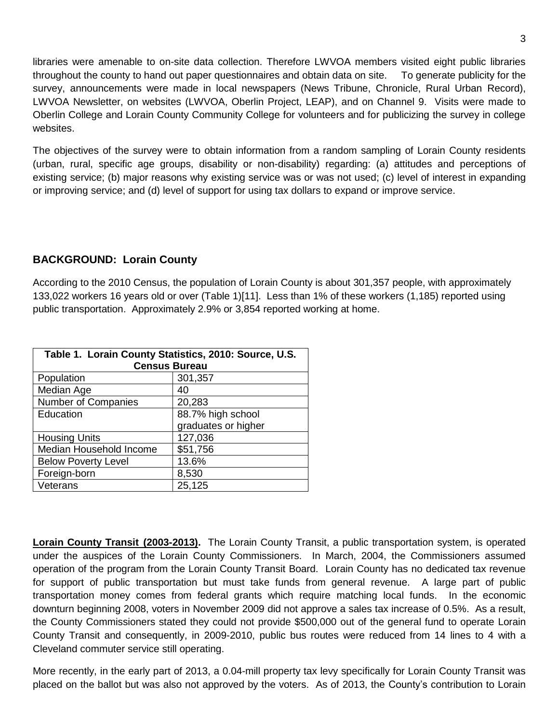libraries were amenable to on-site data collection. Therefore LWVOA members visited eight public libraries throughout the county to hand out paper questionnaires and obtain data on site. To generate publicity for the survey, announcements were made in local newspapers (News Tribune, Chronicle, Rural Urban Record), LWVOA Newsletter, on websites (LWVOA, Oberlin Project, LEAP), and on Channel 9. Visits were made to Oberlin College and Lorain County Community College for volunteers and for publicizing the survey in college websites.

The objectives of the survey were to obtain information from a random sampling of Lorain County residents (urban, rural, specific age groups, disability or non-disability) regarding: (a) attitudes and perceptions of existing service; (b) major reasons why existing service was or was not used; (c) level of interest in expanding or improving service; and (d) level of support for using tax dollars to expand or improve service.

### **BACKGROUND: Lorain County**

According to the 2010 Census, the population of Lorain County is about 301,357 people, with approximately 133,022 workers 16 years old or over (Table 1)[11]. Less than 1% of these workers (1,185) reported using public transportation. Approximately 2.9% or 3,854 reported working at home.

| Table 1. Lorain County Statistics, 2010: Source, U.S.<br><b>Census Bureau</b> |                     |
|-------------------------------------------------------------------------------|---------------------|
| Population                                                                    | 301,357             |
| Median Age                                                                    | 40                  |
| Number of Companies                                                           | 20,283              |
| Education                                                                     | 88.7% high school   |
|                                                                               | graduates or higher |
| <b>Housing Units</b>                                                          | 127,036             |
| Median Household Income                                                       | \$51,756            |
| <b>Below Poverty Level</b>                                                    | 13.6%               |
| Foreign-born                                                                  | 8,530               |
| Veterans                                                                      | 25,125              |

**Lorain County Transit (2003-2013).** The Lorain County Transit, a public transportation system, is operated under the auspices of the Lorain County Commissioners. In March, 2004, the Commissioners assumed operation of the program from the Lorain County Transit Board. Lorain County has no dedicated tax revenue for support of public transportation but must take funds from general revenue. A large part of public transportation money comes from federal grants which require matching local funds. In the economic downturn beginning 2008, voters in November 2009 did not approve a sales tax increase of 0.5%. As a result, the County Commissioners stated they could not provide \$500,000 out of the general fund to operate Lorain County Transit and consequently, in 2009-2010, public bus routes were reduced from 14 lines to 4 with a Cleveland commuter service still operating.

More recently, in the early part of 2013, a 0.04-mill property tax levy specifically for Lorain County Transit was placed on the ballot but was also not approved by the voters. As of 2013, the County's contribution to Lorain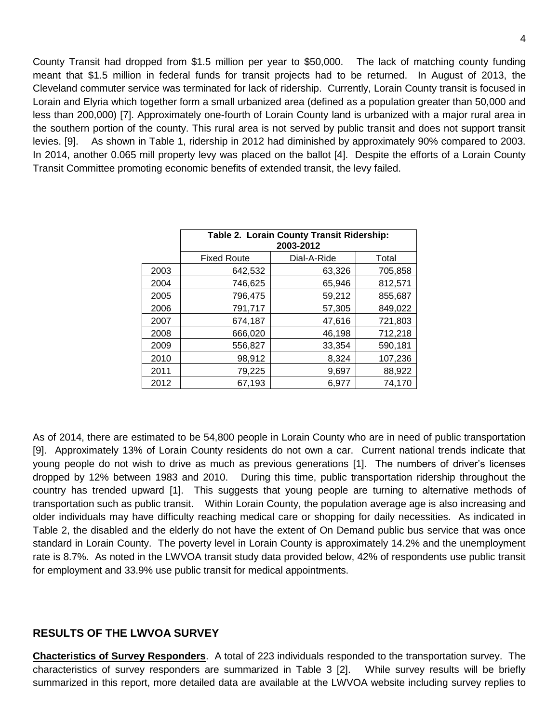County Transit had dropped from \$1.5 million per year to \$50,000. The lack of matching county funding meant that \$1.5 million in federal funds for transit projects had to be returned. In August of 2013, the Cleveland commuter service was terminated for lack of ridership. Currently, Lorain County transit is focused in Lorain and Elyria which together form a small urbanized area (defined as a population greater than 50,000 and less than 200,000) [7]. Approximately one-fourth of Lorain County land is urbanized with a major rural area in the southern portion of the county. This rural area is not served by public transit and does not support transit levies. [9]. As shown in Table 1, ridership in 2012 had diminished by approximately 90% compared to 2003. In 2014, another 0.065 mill property levy was placed on the ballot [4]. Despite the efforts of a Lorain County Transit Committee promoting economic benefits of extended transit, the levy failed.

|      | Table 2. Lorain County Transit Ridership:<br>2003-2012 |             |         |
|------|--------------------------------------------------------|-------------|---------|
|      | <b>Fixed Route</b>                                     | Dial-A-Ride | Total   |
| 2003 | 642,532                                                | 63,326      | 705,858 |
| 2004 | 746,625                                                | 65,946      | 812,571 |
| 2005 | 796,475                                                | 59,212      | 855,687 |
| 2006 | 791,717                                                | 57,305      | 849,022 |
| 2007 | 674,187                                                | 47,616      | 721,803 |
| 2008 | 666,020                                                | 46,198      | 712,218 |
| 2009 | 556,827                                                | 33,354      | 590,181 |
| 2010 | 98,912                                                 | 8,324       | 107,236 |
| 2011 | 79,225                                                 | 9,697       | 88,922  |
| 2012 | 67,193                                                 | 6,977       | 74,170  |

As of 2014, there are estimated to be 54,800 people in Lorain County who are in need of public transportation [9]. Approximately 13% of Lorain County residents do not own a car. Current national trends indicate that young people do not wish to drive as much as previous generations [1]. The numbers of driver's licenses dropped by 12% between 1983 and 2010. During this time, public transportation ridership throughout the country has trended upward [1]. This suggests that young people are turning to alternative methods of transportation such as public transit. Within Lorain County, the population average age is also increasing and older individuals may have difficulty reaching medical care or shopping for daily necessities. As indicated in Table 2, the disabled and the elderly do not have the extent of On Demand public bus service that was once standard in Lorain County. The poverty level in Lorain County is approximately 14.2% and the unemployment rate is 8.7%. As noted in the LWVOA transit study data provided below, 42% of respondents use public transit for employment and 33.9% use public transit for medical appointments.

#### **RESULTS OF THE LWVOA SURVEY**

**Chacteristics of Survey Responders**. A total of 223 individuals responded to the transportation survey. The characteristics of survey responders are summarized in Table 3 [2]. While survey results will be briefly summarized in this report, more detailed data are available at the LWVOA website including survey replies to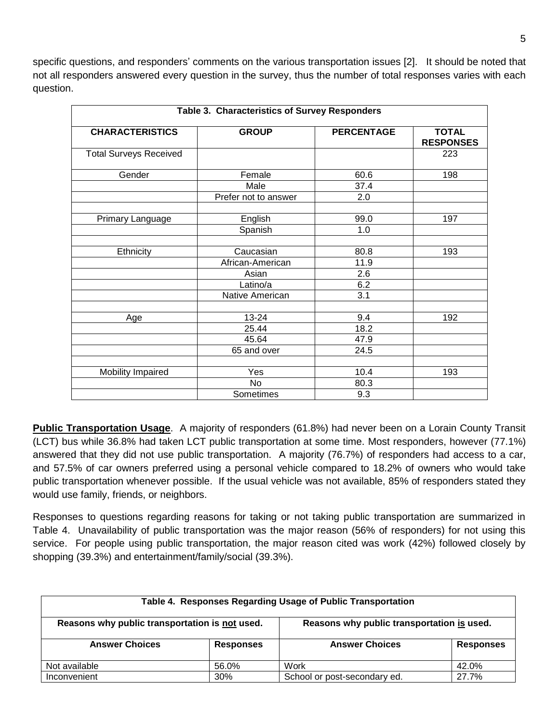specific questions, and responders' comments on the various transportation issues [2]. It should be noted that not all responders answered every question in the survey, thus the number of total responses varies with each question.

| Table 3. Characteristics of Survey Responders |                      |                   |                                  |
|-----------------------------------------------|----------------------|-------------------|----------------------------------|
| <b>CHARACTERISTICS</b>                        | <b>GROUP</b>         | <b>PERCENTAGE</b> | <b>TOTAL</b><br><b>RESPONSES</b> |
| <b>Total Surveys Received</b>                 |                      |                   | 223                              |
| Gender                                        | Female               | 60.6              | 198                              |
|                                               | Male                 | 37.4              |                                  |
|                                               | Prefer not to answer | 2.0               |                                  |
| Primary Language                              | English              | 99.0              | 197                              |
|                                               | Spanish              | 1.0               |                                  |
|                                               |                      |                   |                                  |
| Ethnicity                                     | Caucasian            | 80.8              | 193                              |
|                                               | African-American     | 11.9              |                                  |
|                                               | Asian                | 2.6               |                                  |
|                                               | Latino/a             | 6.2               |                                  |
|                                               | Native American      | 3.1               |                                  |
|                                               |                      |                   |                                  |
| Age                                           | 13-24                | 9.4               | 192                              |
|                                               | 25.44                | 18.2              |                                  |
|                                               | 45.64                | 47.9              |                                  |
|                                               | 65 and over          | 24.5              |                                  |
|                                               |                      |                   |                                  |
| Mobility Impaired                             | Yes                  | 10.4              | 193                              |
|                                               | <b>No</b>            | 80.3              |                                  |
|                                               | Sometimes            | 9.3               |                                  |

**Public Transportation Usage**. A majority of responders (61.8%) had never been on a Lorain County Transit (LCT) bus while 36.8% had taken LCT public transportation at some time. Most responders, however (77.1%) answered that they did not use public transportation. A majority (76.7%) of responders had access to a car, and 57.5% of car owners preferred using a personal vehicle compared to 18.2% of owners who would take public transportation whenever possible. If the usual vehicle was not available, 85% of responders stated they would use family, friends, or neighbors.

Responses to questions regarding reasons for taking or not taking public transportation are summarized in Table 4. Unavailability of public transportation was the major reason (56% of responders) for not using this service. For people using public transportation, the major reason cited was work (42%) followed closely by shopping (39.3%) and entertainment/family/social (39.3%).

| Table 4. Responses Regarding Usage of Public Transportation                                  |                  |                              |           |
|----------------------------------------------------------------------------------------------|------------------|------------------------------|-----------|
| Reasons why public transportation is not used.<br>Reasons why public transportation is used. |                  |                              |           |
| <b>Answer Choices</b>                                                                        | <b>Responses</b> | <b>Answer Choices</b>        | Responses |
| Not available                                                                                | 56.0%            | Work                         | 42.0%     |
| Inconvenient                                                                                 | 30%              | School or post-secondary ed. | 27.7%     |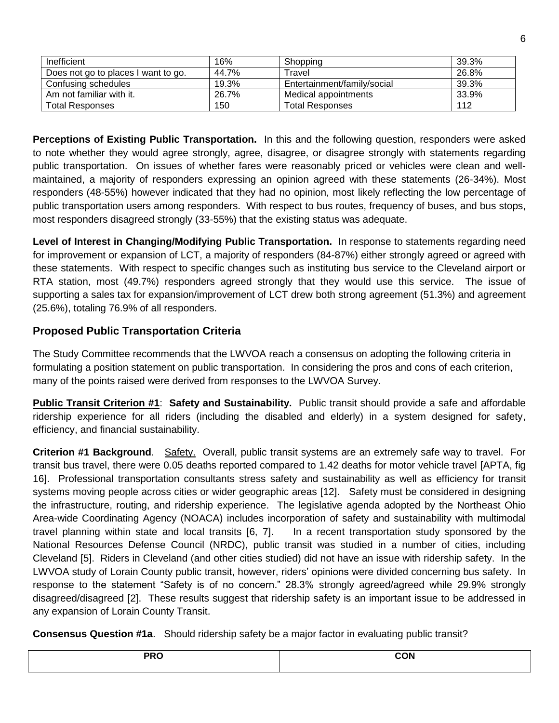| Inefficient                         | 16%   | Shopping                    | 39.3% |
|-------------------------------------|-------|-----------------------------|-------|
| Does not go to places I want to go. | 44.7% | Fravel                      | 26.8% |
| Confusing schedules                 | 19.3% | Entertainment/family/social | 39.3% |
| Am not familiar with it.            | 26.7% | Medical appointments        | 33.9% |
| <b>Total Responses</b>              | 150   | Total Responses             | 112   |

**Perceptions of Existing Public Transportation.** In this and the following question, responders were asked to note whether they would agree strongly, agree, disagree, or disagree strongly with statements regarding public transportation. On issues of whether fares were reasonably priced or vehicles were clean and wellmaintained, a majority of responders expressing an opinion agreed with these statements (26-34%). Most responders (48-55%) however indicated that they had no opinion, most likely reflecting the low percentage of public transportation users among responders. With respect to bus routes, frequency of buses, and bus stops, most responders disagreed strongly (33-55%) that the existing status was adequate.

**Level of Interest in Changing/Modifying Public Transportation.** In response to statements regarding need for improvement or expansion of LCT, a majority of responders (84-87%) either strongly agreed or agreed with these statements. With respect to specific changes such as instituting bus service to the Cleveland airport or RTA station, most (49.7%) responders agreed strongly that they would use this service. The issue of supporting a sales tax for expansion/improvement of LCT drew both strong agreement (51.3%) and agreement (25.6%), totaling 76.9% of all responders.

## **Proposed Public Transportation Criteria**

The Study Committee recommends that the LWVOA reach a consensus on adopting the following criteria in formulating a position statement on public transportation. In considering the pros and cons of each criterion, many of the points raised were derived from responses to the LWVOA Survey.

**Public Transit Criterion #1**: **Safety and Sustainability.** Public transit should provide a safe and affordable ridership experience for all riders (including the disabled and elderly) in a system designed for safety, efficiency, and financial sustainability.

**Criterion #1 Background**. Safety. Overall, public transit systems are an extremely safe way to travel. For transit bus travel, there were 0.05 deaths reported compared to 1.42 deaths for motor vehicle travel [APTA, fig 16]. Professional transportation consultants stress safety and sustainability as well as efficiency for transit systems moving people across cities or wider geographic areas [12]. Safety must be considered in designing the infrastructure, routing, and ridership experience. The legislative agenda adopted by the Northeast Ohio Area-wide Coordinating Agency (NOACA) includes incorporation of safety and sustainability with multimodal travel planning within state and local transits [6, 7]. In a recent transportation study sponsored by the National Resources Defense Council (NRDC), public transit was studied in a number of cities, including Cleveland [5]. Riders in Cleveland (and other cities studied) did not have an issue with ridership safety. In the LWVOA study of Lorain County public transit, however, riders' opinions were divided concerning bus safety. In response to the statement "Safety is of no concern." 28.3% strongly agreed/agreed while 29.9% strongly disagreed/disagreed [2]. These results suggest that ridership safety is an important issue to be addressed in any expansion of Lorain County Transit.

**Consensus Question #1a**. Should ridership safety be a major factor in evaluating public transit?

| <b>DDO</b><br>$\cdot$<br>$  -$ | $- - - -$<br>חו<br>. .<br>$- - - -$ |
|--------------------------------|-------------------------------------|
|                                |                                     |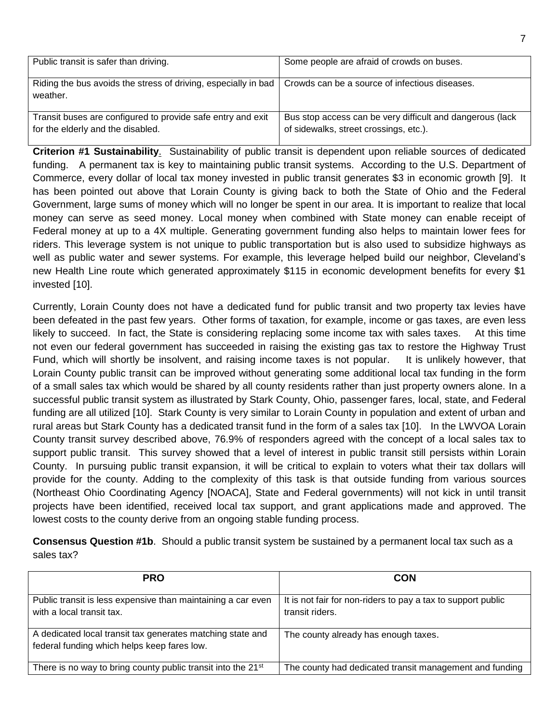| Public transit is safer than driving.                                                            | Some people are afraid of crowds on buses.                                                          |
|--------------------------------------------------------------------------------------------------|-----------------------------------------------------------------------------------------------------|
| Riding the bus avoids the stress of driving, especially in bad<br>weather.                       | Crowds can be a source of infectious diseases.                                                      |
| Transit buses are configured to provide safe entry and exit<br>for the elderly and the disabled. | Bus stop access can be very difficult and dangerous (lack<br>of sidewalks, street crossings, etc.). |

**Criterion #1 Sustainability**. Sustainability of public transit is dependent upon reliable sources of dedicated funding. A permanent tax is key to maintaining public transit systems. According to the U.S. Department of Commerce, every dollar of local tax money invested in public transit generates \$3 in economic growth [9]. It has been pointed out above that Lorain County is giving back to both the State of Ohio and the Federal Government, large sums of money which will no longer be spent in our area. It is important to realize that local money can serve as seed money. Local money when combined with State money can enable receipt of Federal money at up to a 4X multiple. Generating government funding also helps to maintain lower fees for riders. This leverage system is not unique to public transportation but is also used to subsidize highways as well as public water and sewer systems. For example, this leverage helped build our neighbor, Cleveland's new Health Line route which generated approximately \$115 in economic development benefits for every \$1 invested [10].

Currently, Lorain County does not have a dedicated fund for public transit and two property tax levies have been defeated in the past few years. Other forms of taxation, for example, income or gas taxes, are even less likely to succeed. In fact, the State is considering replacing some income tax with sales taxes. At this time not even our federal government has succeeded in raising the existing gas tax to restore the Highway Trust Fund, which will shortly be insolvent, and raising income taxes is not popular. It is unlikely however, that Lorain County public transit can be improved without generating some additional local tax funding in the form of a small sales tax which would be shared by all county residents rather than just property owners alone. In a successful public transit system as illustrated by Stark County, Ohio, passenger fares, local, state, and Federal funding are all utilized [10]. Stark County is very similar to Lorain County in population and extent of urban and rural areas but Stark County has a dedicated transit fund in the form of a sales tax [10]. In the LWVOA Lorain County transit survey described above, 76.9% of responders agreed with the concept of a local sales tax to support public transit. This survey showed that a level of interest in public transit still persists within Lorain County. In pursuing public transit expansion, it will be critical to explain to voters what their tax dollars will provide for the county. Adding to the complexity of this task is that outside funding from various sources (Northeast Ohio Coordinating Agency [NOACA], State and Federal governments) will not kick in until transit projects have been identified, received local tax support, and grant applications made and approved. The lowest costs to the county derive from an ongoing stable funding process.

|            | <b>Consensus Question #1b.</b> Should a public transit system be sustained by a permanent local tax such as a |
|------------|---------------------------------------------------------------------------------------------------------------|
| sales tax? |                                                                                                               |

| <b>PRO</b>                                                                                                | <b>CON</b>                                                                      |
|-----------------------------------------------------------------------------------------------------------|---------------------------------------------------------------------------------|
| Public transit is less expensive than maintaining a car even<br>with a local transit tax.                 | It is not fair for non-riders to pay a tax to support public<br>transit riders. |
| A dedicated local transit tax generates matching state and<br>federal funding which helps keep fares low. | The county already has enough taxes.                                            |
| There is no way to bring county public transit into the 21 <sup>st</sup>                                  | The county had dedicated transit management and funding                         |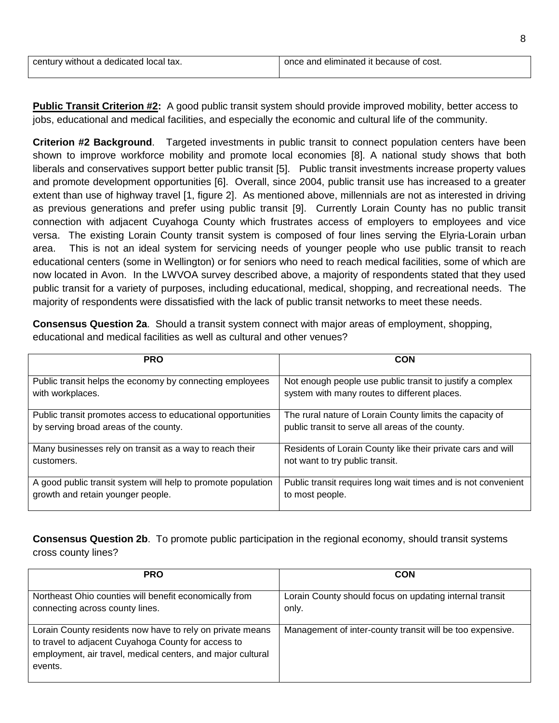| century without a dedicated local tax. | once and eliminated it because of cost. |
|----------------------------------------|-----------------------------------------|

8

**Public Transit Criterion #2:** A good public transit system should provide improved mobility, better access to jobs, educational and medical facilities, and especially the economic and cultural life of the community.

**Criterion #2 Background**. Targeted investments in public transit to connect population centers have been shown to improve workforce mobility and promote local economies [8]. A national study shows that both liberals and conservatives support better public transit [5]. Public transit investments increase property values and promote development opportunities [6]. Overall, since 2004, public transit use has increased to a greater extent than use of highway travel [1, figure 2]. As mentioned above, millennials are not as interested in driving as previous generations and prefer using public transit [9]. Currently Lorain County has no public transit connection with adjacent Cuyahoga County which frustrates access of employers to employees and vice versa. The existing Lorain County transit system is composed of four lines serving the Elyria-Lorain urban area. This is not an ideal system for servicing needs of younger people who use public transit to reach educational centers (some in Wellington) or for seniors who need to reach medical facilities, some of which are now located in Avon. In the LWVOA survey described above, a majority of respondents stated that they used public transit for a variety of purposes, including educational, medical, shopping, and recreational needs. The majority of respondents were dissatisfied with the lack of public transit networks to meet these needs.

**Consensus Question 2a**. Should a transit system connect with major areas of employment, shopping, educational and medical facilities as well as cultural and other venues?

| <b>PRO</b>                                                   | <b>CON</b>                                                    |
|--------------------------------------------------------------|---------------------------------------------------------------|
| Public transit helps the economy by connecting employees     | Not enough people use public transit to justify a complex     |
| with workplaces.                                             | system with many routes to different places.                  |
| Public transit promotes access to educational opportunities  | The rural nature of Lorain County limits the capacity of      |
| by serving broad areas of the county.                        | public transit to serve all areas of the county.              |
| Many businesses rely on transit as a way to reach their      | Residents of Lorain County like their private cars and will   |
| customers.                                                   | not want to try public transit.                               |
| A good public transit system will help to promote population | Public transit requires long wait times and is not convenient |
| growth and retain younger people.                            | to most people.                                               |

**Consensus Question 2b**. To promote public participation in the regional economy, should transit systems cross county lines?

| <b>PRO</b>                                                                                                                                                                                 | <b>CON</b>                                                       |
|--------------------------------------------------------------------------------------------------------------------------------------------------------------------------------------------|------------------------------------------------------------------|
| Northeast Ohio counties will benefit economically from<br>connecting across county lines.                                                                                                  | Lorain County should focus on updating internal transit<br>only. |
| Lorain County residents now have to rely on private means<br>to travel to adjacent Cuyahoga County for access to<br>employment, air travel, medical centers, and major cultural<br>events. | Management of inter-county transit will be too expensive.        |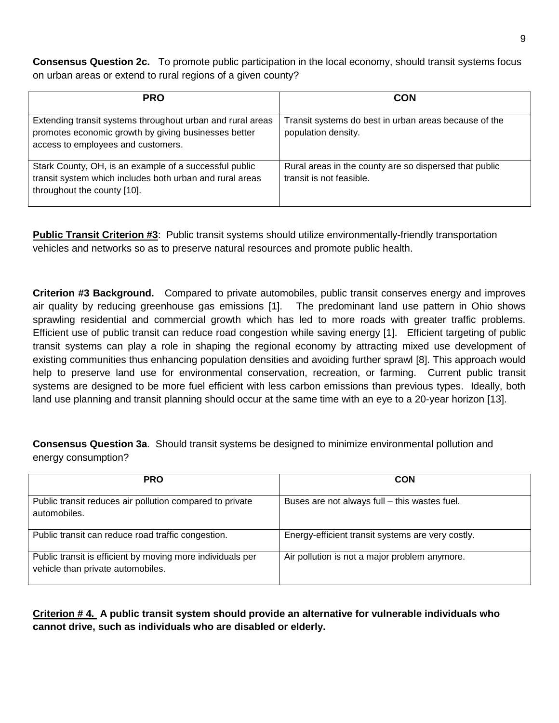**Consensus Question 2c.** To promote public participation in the local economy, should transit systems focus on urban areas or extend to rural regions of a given county?

| <b>PRO</b>                                                                                                                                               | <b>CON</b>                                                                         |
|----------------------------------------------------------------------------------------------------------------------------------------------------------|------------------------------------------------------------------------------------|
| Extending transit systems throughout urban and rural areas<br>promotes economic growth by giving businesses better<br>access to employees and customers. | Transit systems do best in urban areas because of the<br>population density.       |
| Stark County, OH, is an example of a successful public<br>transit system which includes both urban and rural areas<br>throughout the county [10].        | Rural areas in the county are so dispersed that public<br>transit is not feasible. |

**Public Transit Criterion #3**: Public transit systems should utilize environmentally-friendly transportation vehicles and networks so as to preserve natural resources and promote public health.

**Criterion #3 Background.** Compared to private automobiles, public transit conserves energy and improves air quality by reducing greenhouse gas emissions [1]. The predominant land use pattern in Ohio shows sprawling residential and commercial growth which has led to more roads with greater traffic problems. Efficient use of public transit can reduce road congestion while saving energy [1]. Efficient targeting of public transit systems can play a role in shaping the regional economy by attracting mixed use development of existing communities thus enhancing population densities and avoiding further sprawl [8]. This approach would help to preserve land use for environmental conservation, recreation, or farming. Current public transit systems are designed to be more fuel efficient with less carbon emissions than previous types. Ideally, both land use planning and transit planning should occur at the same time with an eye to a 20-year horizon [13].

**Consensus Question 3a**. Should transit systems be designed to minimize environmental pollution and energy consumption?

| <b>PRO</b>                                                                                      | <b>CON</b>                                        |
|-------------------------------------------------------------------------------------------------|---------------------------------------------------|
| Public transit reduces air pollution compared to private<br>automobiles.                        | Buses are not always full – this wastes fuel.     |
| Public transit can reduce road traffic congestion.                                              | Energy-efficient transit systems are very costly. |
| Public transit is efficient by moving more individuals per<br>vehicle than private automobiles. | Air pollution is not a major problem anymore.     |

**Criterion # 4. A public transit system should provide an alternative for vulnerable individuals who cannot drive, such as individuals who are disabled or elderly.**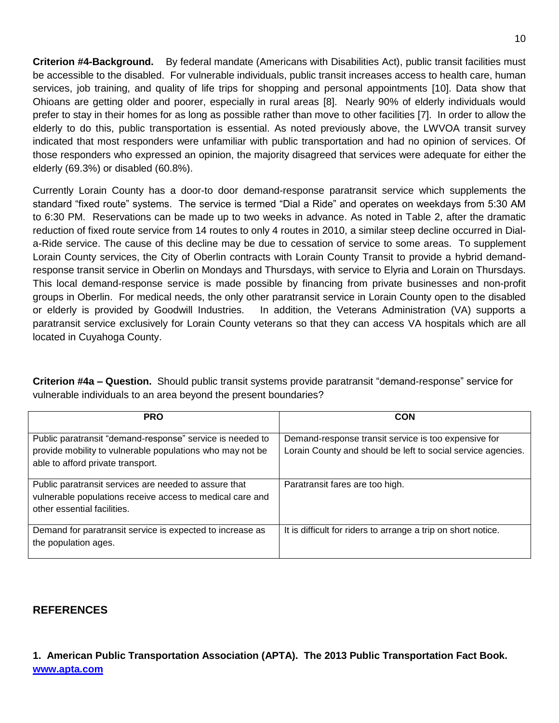**Criterion #4-Background.** By federal mandate (Americans with Disabilities Act), public transit facilities must be accessible to the disabled. For vulnerable individuals, public transit increases access to health care, human services, job training, and quality of life trips for shopping and personal appointments [10]. Data show that Ohioans are getting older and poorer, especially in rural areas [8]. Nearly 90% of elderly individuals would prefer to stay in their homes for as long as possible rather than move to other facilities [7]. In order to allow the elderly to do this, public transportation is essential. As noted previously above, the LWVOA transit survey indicated that most responders were unfamiliar with public transportation and had no opinion of services. Of those responders who expressed an opinion, the majority disagreed that services were adequate for either the elderly (69.3%) or disabled (60.8%).

Currently Lorain County has a door-to door demand-response paratransit service which supplements the standard "fixed route" systems. The service is termed "Dial a Ride" and operates on weekdays from 5:30 AM to 6:30 PM. Reservations can be made up to two weeks in advance. As noted in Table 2, after the dramatic reduction of fixed route service from 14 routes to only 4 routes in 2010, a similar steep decline occurred in Diala-Ride service. The cause of this decline may be due to cessation of service to some areas. To supplement Lorain County services, the City of Oberlin contracts with Lorain County Transit to provide a hybrid demandresponse transit service in Oberlin on Mondays and Thursdays, with service to Elyria and Lorain on Thursdays. This local demand-response service is made possible by financing from private businesses and non-profit groups in Oberlin. For medical needs, the only other paratransit service in Lorain County open to the disabled or elderly is provided by Goodwill Industries. In addition, the Veterans Administration (VA) supports a paratransit service exclusively for Lorain County veterans so that they can access VA hospitals which are all located in Cuyahoga County.

**Criterion #4a – Question.** Should public transit systems provide paratransit "demand-response" service for vulnerable individuals to an area beyond the present boundaries?

| <b>PRO</b>                                                                                                                                                  | <b>CON</b>                                                                                                           |
|-------------------------------------------------------------------------------------------------------------------------------------------------------------|----------------------------------------------------------------------------------------------------------------------|
| Public paratransit "demand-response" service is needed to<br>provide mobility to vulnerable populations who may not be<br>able to afford private transport. | Demand-response transit service is too expensive for<br>Lorain County and should be left to social service agencies. |
| Public paratransit services are needed to assure that<br>vulnerable populations receive access to medical care and<br>other essential facilities.           | Paratransit fares are too high.                                                                                      |
| Demand for paratransit service is expected to increase as<br>the population ages.                                                                           | It is difficult for riders to arrange a trip on short notice.                                                        |

## **REFERENCES**